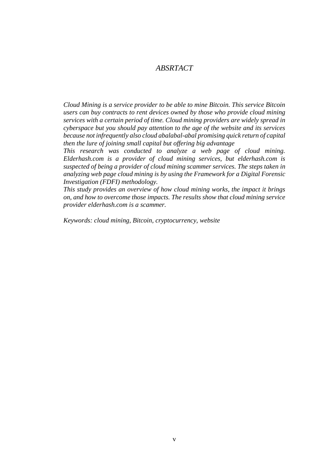## *ABSRTACT*

*Cloud Mining is a service provider to be able to mine Bitcoin. This service Bitcoin users can buy contracts to rent devices owned by those who provide cloud mining services with a certain period of time. Cloud mining providers are widely spread in cyberspace but you should pay attention to the age of the website and its services because not infrequently also cloud abalabal-abal promising quick return of capital then the lure of joining small capital but offering big advantage*

*This research was conducted to analyze a web page of cloud mining. Elderhash.com is a provider of cloud mining services, but elderhash.com is suspected of being a provider of cloud mining scammer services. The steps taken in analyzing web page cloud mining is by using the Framework for a Digital Forensic Investigation (FDFI) methodology.*

*This study provides an overview of how cloud mining works, the impact it brings on, and how to overcome those impacts. The results show that cloud mining service provider elderhash.com is a scammer.*

*Keywords: cloud mining, Bitcoin, cryptocurrency, website*